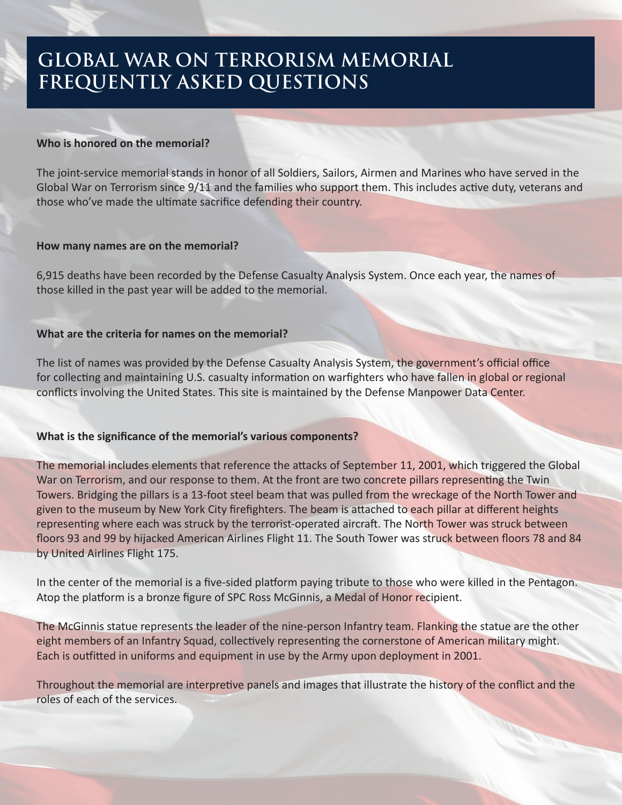# **FREQUENTLY ASKED QUESTIONS GLOBAL WAR ON TERRORISM MEMORIAL**

### **Who is honored on the memorial?**

The joint-service memorial stands in honor of all Soldiers, Sailors, Airmen and Marines who have served in the Global War on Terrorism since 9/11 and the families who support them. This includes active duty, veterans and those who've made the ultimate sacrifice defending their country.

### **How many names are on the memorial?**

6,915 deaths have been recorded by the Defense Casualty Analysis System. Once each year, the names of those killed in the past year will be added to the memorial.

## **What are the criteria for names on the memorial?**

The list of names was provided by the Defense Casualty Analysis System, the government's official office for collecting and maintaining U.S. casualty information on warfighters who have fallen in global or regional conflicts involving the United States. This site is maintained by the Defense Manpower Data Center.

## **What is the significance of the memorial's various components?**

The memorial includes elements that reference the attacks of September 11, 2001, which triggered the Global War on Terrorism, and our response to them. At the front are two concrete pillars representing the Twin Towers. Bridging the pillars is a 13-foot steel beam that was pulled from the wreckage of the North Tower and given to the museum by New York City firefighters. The beam is attached to each pillar at different heights representing where each was struck by the terrorist-operated aircraft. The North Tower was struck between floors 93 and 99 by hijacked American Airlines Flight 11. The South Tower was struck between floors 78 and 84 by United Airlines Flight 175.

In the center of the memorial is a five-sided platform paying tribute to those who were killed in the Pentagon. Atop the platform is a bronze figure of SPC Ross McGinnis, a Medal of Honor recipient.

The McGinnis statue represents the leader of the nine-person Infantry team. Flanking the statue are the other eight members of an Infantry Squad, collectively representing the cornerstone of American military might. Each is outfitted in uniforms and equipment in use by the Army upon deployment in 2001.

Throughout the memorial are interpretive panels and images that illustrate the history of the conflict and the roles of each of the services.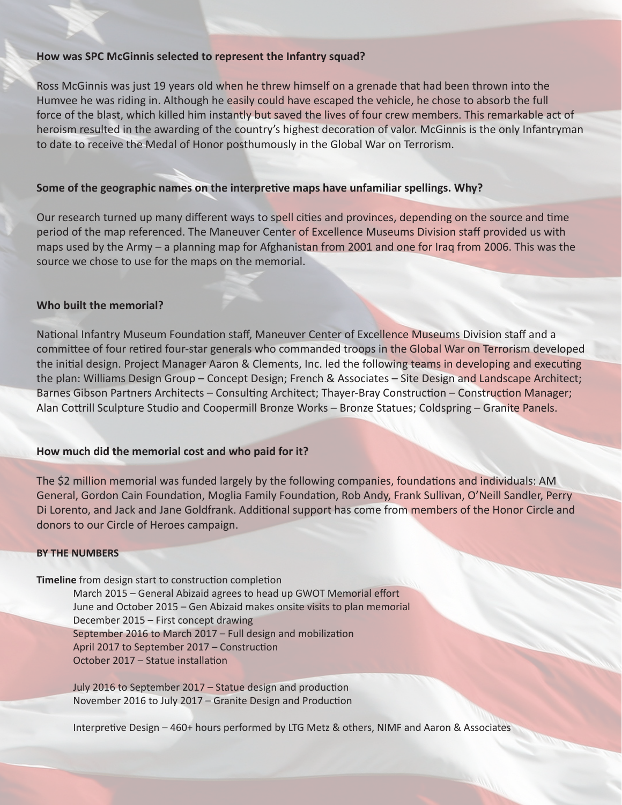#### **How was SPC McGinnis selected to represent the Infantry squad?**

Ross McGinnis was just 19 years old when he threw himself on a grenade that had been thrown into the Humvee he was riding in. Although he easily could have escaped the vehicle, he chose to absorb the full force of the blast, which killed him instantly but saved the lives of four crew members. This remarkable act of heroism resulted in the awarding of the country's highest decoration of valor. McGinnis is the only Infantryman to date to receive the Medal of Honor posthumously in the Global War on Terrorism.

### **Some of the geographic names on the interpretive maps have unfamiliar spellings. Why?**

Our research turned up many different ways to spell cities and provinces, depending on the source and time period of the map referenced. The Maneuver Center of Excellence Museums Division staff provided us with maps used by the Army – a planning map for Afghanistan from 2001 and one for Iraq from 2006. This was the source we chose to use for the maps on the memorial.

#### **Who built the memorial?**

National Infantry Museum Foundation staff, Maneuver Center of Excellence Museums Division staff and a committee of four retired four-star generals who commanded troops in the Global War on Terrorism developed the initial design. Project Manager Aaron & Clements, Inc. led the following teams in developing and executing the plan: Williams Design Group – Concept Design; French & Associates – Site Design and Landscape Architect; Barnes Gibson Partners Architects – Consulting Architect; Thayer-Bray Construction – Construction Manager; Alan Cottrill Sculpture Studio and Coopermill Bronze Works – Bronze Statues; Coldspring – Granite Panels.

#### **How much did the memorial cost and who paid for it?**

The \$2 million memorial was funded largely by the following companies, foundations and individuals: AM General, Gordon Cain Foundation, Moglia Family Foundation, Rob Andy, Frank Sullivan, O'Neill Sandler, Perry Di Lorento, and Jack and Jane Goldfrank. Additional support has come from members of the Honor Circle and donors to our Circle of Heroes campaign.

#### **BY THE NUMBERS**

#### **Timeline** from design start to construction completion

March 2015 – General Abizaid agrees to head up GWOT Memorial effort June and October 2015 – Gen Abizaid makes onsite visits to plan memorial December 2015 – First concept drawing September 2016 to March 2017 – Full design and mobilization April 2017 to September 2017 – Construction October 2017 – Statue installation

July 2016 to September 2017 – Statue design and production November 2016 to July 2017 – Granite Design and Production

Interpretive Design – 460+ hours performed by LTG Metz & others, NIMF and Aaron & Associates